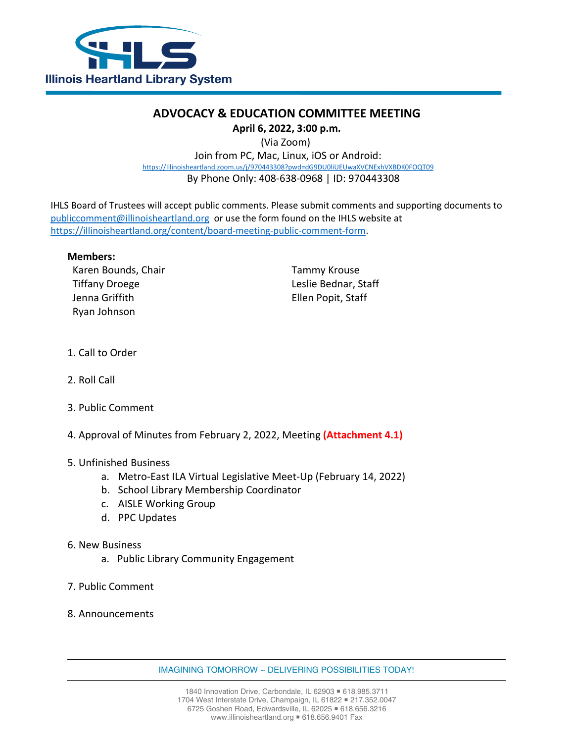

# **ADVOCACY & EDUCATION COMMITTEE MEETING**

### **April 6, 2022, 3:00 p.m.**

(Via Zoom)

Join from PC, Mac, Linux, iOS or Android:<br>[https://Illinoisheartland.zoom.us/j/970443308?pwd=dG9DU0liUEUwaXVCNExhVXBDK0FOQT09](https://illinoisheartland.zoom.us/j/970443308?pwd=dG9DU0liUEUwaXVCNExhVXBDK0FOQT09) By Phone Only: 408-638-0968 | ID: 970443308

IHLS Board of Trustees will accept public comments. Please submit comments and supporting documents to [publiccomment@illinoisheartland.org](mailto:publiccomment@illinoisheartland.org) or use the form found on the IHLS website at [https://illinoisheartland.org/content/board-meeting-public-comment-form.](https://illinoisheartland.org/content/board-meeting-public-comment-form)

#### **Members:**

Karen Bounds, Chair Tammy Krouse Tiffany Droege Leslie Bednar, Staff Jenna Griffith Ellen Popit, Staff Ryan Johnson

- 1. Call to Order
- 2. Roll Call
- 3. Public Comment
- 4. Approval of Minutes from February 2, 2022, Meeting **(Attachment 4.1)**

#### 5. Unfinished Business

- a. Metro-East ILA Virtual Legislative Meet-Up (February 14, 2022)
- b. School Library Membership Coordinator
- c. AISLE Working Group
- d. PPC Updates
- 6. New Business
	- a. Public Library Community Engagement
- 7. Public Comment
- 8. Announcements